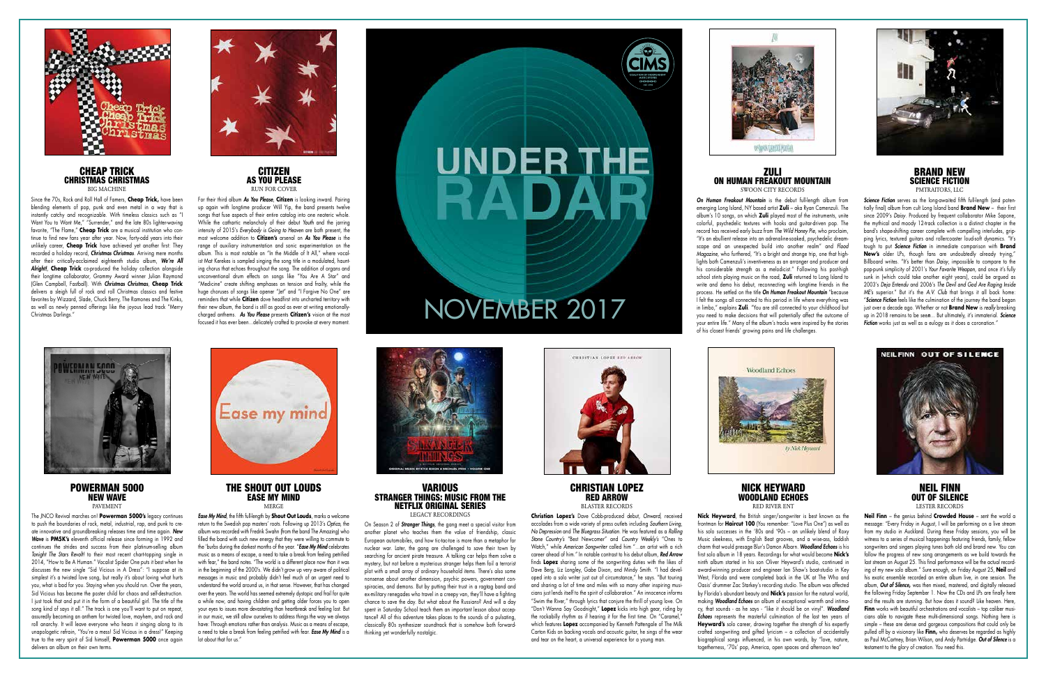POWERMAN 5000 NEW WAVE PAVEMENT

The JNCO Revival marches on! **Powerman 5000's** legacy continues to push the boundaries of rock, metal, industrial, rap, and punk to create innovative and groundbreaking releases time and time again. *New Wave* is **PM5K's** eleventh official release since forming in 1992 and continues the strides and success from their platinum-selling album *Tonight The Stars Revolt!* to their most recent chart-topping single in 2014, "How to Be A Human." Vocalist Spider One puts it best when he discusses the new single "Sid Vicious in A Dress": "I suppose at its simplest it's a twisted love song, but really it's about loving what hurts you, what is bad for you. Staying when you should run. Over the years, Sid Vicious has become the poster child for chaos and self-destruction. I just took that and put it in the form of a beautiful girl. The title of the song kind of says it all." The track is one you'll want to put on repeat, assuredly becoming an anthem for twisted love, mayhem, and rock and roll anarchy. It will leave everyone who hears it singing along to its unapologetic refrain, "You're a mess! Sid Vicious in a dress!" Keeping true to the very spirit of Sid himself, **Powerman 5000** once again delivers an album on their own terms.



### THE SHOUT OUT LOUDS EASE MY MIND MERGE

**VARIOUS** STRANGER THINGS: MUSIC FROM THE NETFLIX ORIGINAL SERIES LEGACY RECORDINGS

*Ease My Mind*, the fifth full-length by **Shout Out Louds**, marks a welcome return to the Swedish pop masters' roots. Following up 2013's *Optica*, the album was recorded with Fredrik Swahn (from the band The Amazing) who filled the band with such new energy that they were willing to commute to the 'burbs during the darkest months of the year. "*Ease My Mind* celebrates music as a means of escape, a need to take a break from feeling petrified with fear," the band notes. "The world is a different place now than it was in the beginning of the 2000's. We didn't grow up very aware of political messages in music and probably didn't feel much of an urgent need to understand the world around us, in that sense. However, that has changed over the years. The world has seemed extremely dystopic and frail for quite a while now, and having children and getting older forces you to open your eyes to issues more devastating than heartbreak and feeling lost. But in our music, we still allow ourselves to address things the way we always have: Through emotions rather than analysis. Music as a means of escape, a need to take a break from feeling petrified with fear. *Ease My Mind* is a lot about that for us."



On Season 2 of *Stranger Things*, the gang meet a special visitor from another planet who teaches them the value of friendship, classic European automobiles, and how tic-tac-toe is more than a metaphor for nuclear war. Later, the gang are challenged to save their town by searching for ancient pirate treasure. A talking car helps them solve a mystery, but not before a mysterious stranger helps them foil a terrorist plot with a small array of ordinary household items. There's also some nonsense about another dimension, psychic powers, government conspiracies, and demons. But by putting their trust in a ragtag band and ex-military renegades who travel in a creepy van, they'll have a fighting chance to save the day. But what about the Russians? And will a day spent in Saturday School teach them an important lesson about acceptance? All of this adventure takes places to the sounds of a pulsating, classically 80s synthesizer soundtrack that is somehow both forwardthinking yet wonderfully nostalgic.



### CHRISTIAN LOPEZ RED ARROW BLASTER RECORDS

**Christian Lopez's** Dave Cobb-produced debut, *Onward*, received accolades from a wide variety of press outlets including *Southern Living*, *No Depression* and *The Bluegrass Situation*. He was featured as a *Rolling Stone Country's* "Best Newcomer" and *Country Weekly's* "Ones to Watch," while *American Songwriter* called him "…an artist with a rich career ahead of him." In notable contrast to his debut album, *Red Arrow* finds **Lopez** sharing some of the songwriting duties with the likes of Dave Berg, Liz Longley, Gabe Dixon, and Mindy Smith. "I had developed into a solo writer just out of circumstance," he says. "But touring and sharing a lot of time and miles with so many other inspiring musicians just lends itself to the spirit of collaboration." An innocence informs "Swim the River," through lyrics that conjure the thrill of young love. On "Don't Wanna Say Goodnight," **Lopez** kicks into high gear, riding by the rockabilly rhythm as if hearing it for the first time. On "Caramel," which features **Lopez** accompanied by Kenneth Pattengale of The Milk Carton Kids on backing vocals and acoustic guitar, he sings of the wear and tear on the heart, a universal experience for a young man.





**CITIZEN** AS YOU PLEASE RUN FOR COVER





**Nick Heyward**, the British singer/songwriter is best known as the frontman for **Haircut 100** (You remember: "Love Plus One") as well as his solo successes in the '80s and '90s – an unlikely blend of Roxy Music sleekness, with English Beat grooves, and a wise-ass, laddish charm that would presage Blur's Damon Albarn. *Woodland Echoes* is his first solo album in 18 years. Recordings for what would become **Nick's** ninth album started in his son Oliver Heyward's studio, continued in award-winning producer and engineer Ian Shaw's boat-studio in Key West, Florida and were completed back in the UK at The Who and Oasis' drummer Zac Starkey's recording studio. The album was affected by Florida's abundant beauty and **Nick's** passion for the natural world, making *Woodland Echoes* an album of exceptional warmth and intimacy, that sounds - as he says - "like it should be on vinyl". *Woodland Echoes* represents the masterful culmination of the last ten years of **Heyward's** solo career, drawing together the strength of his expertly crafted songwriting and gifted lyricism – a collection of accidentally biographical songs influenced, in his own words, by "love, nature, togetherness, '70s' pop, America, open spaces and afternoon tea"

### <u>ZULI</u> ON HUMAN FREAKOUT MOUNTAIN SWOON CITY RECORDS



**Neil Finn** – the genius behind **Crowded House** – sent the world a message: "Every Friday in August, I will be performing on a live stream from my studio in Auckland. During these Friday sessions, you will be witness to a series of musical happenings featuring friends, family, fellow songwriters and singers playing tunes both old and brand new. You can follow the progress of new song arrangements as we build towards the last stream on August 25. This final performance will be the actual recording of my new solo album." Sure enough, on Friday August 25, **Neil** and his exotic ensemble recorded an entire album live, in one session. The album, *Out of Silence***,** was then mixed, mastered, and digitally released the following Friday September 1. Now the CDs and LPs are finally here and the results are stunning. But how does it sound? Like heaven. Here, Finn works with beautiful orchestrations and vocalists - top caliber musicians able to navigate these multi-dimensional songs. Nothing here is simple – these are dense and gorgeous compositions that could only be pulled off by a visionary like **Finn,** who deserves be regarded as highly as Paul McCartney, Brian Wilson, and Andy Partridge. *Out of Silence* is a testament to the glory of creation. You need this.



### CHEAP TRICK CHRISTMAS CHRISTMAS BIG MACHINE

Since the 70s, Rock and Roll Hall of Famers, **Cheap Trick,** have been blending elements of pop, punk and even metal in a way that is instantly catchy and recognizable. With timeless classics such as "I Want You to Want Me," "Surrender," and the late 80s lighter-waving favorite, "The Flame," **Cheap Trick** are a musical institution who continue to find new fans year after year. Now, forty-odd years into their unlikely career, **Cheap Trick** have achieved yet another first: They recorded a holiday record, *Christmas Christmas*. Arriving mere months after their critically-acclaimed eighteenth studio album, *We're All Alright!*, **Cheap Trick** co-produced the holiday collection alongside their longtime collaborator, Grammy Award winner Julian Raymond (Glen Campbell, Fastball). With *Christmas Christmas*, **Cheap Trick** delivers a sleigh full of rock and roll Christmas classics and festive favorites by Wizzard, Slade, Chuck Berry, The Ramones and The Kinks, as well as newly penned offerings like the joyous lead track "Merry Christmas Darlings."



For their third album *As You Please*, **Citizen** is looking inward. Pairing up again with longtime producer Will Yip, the band presents twelve songs that fuse aspects of their entire catalog into one neoteric whole. While the cathartic melancholy of their debut *Youth* and the jarring intensity of 2015's *Everybody is Going to Heaven* are both present, the most welcome addition to **Citizen's** arsenal on *As You Please* is the range of auxiliary instrumentation and sonic experimentation on the album. This is most notable on "In the Middle of It All," where vocalist Mat Kerekes is sampled singing the song title in a modulated, haunting chorus that echoes throughout the song. The addition of organs and unconventional drum effects on songs like "You Are A Star" and "Medicine" create shifting emphases on tension and frailty, while the huge choruses of songs like opener "Jet" and "I Forgive No One" are reminders that while **Citizen** dove headfirst into uncharted territory with their new album, the band is still as good as ever at writing emotionallycharged anthems. *As You Please* presents **Citizen's** vision at the most

## **UNDER THE** RAI

## Feminders that while Citizen dove headfirst into uncharted territory with<br>their new album, the band is still as good as ever at writing emotionally-<br>charged anthems. As You Please presents Citizen's vision at the most<br>focu



*On Human Freakout Mountain* is the debut full-length album from emerging Long Island, NY based artist **Zuli** – aka Ryan Camenzuli. The album's 10 songs, on which **Zuli** played most of the instruments, unite colorful, psychedelic textures with hooks and guitar-driven pop. The record has received early buzz from *The Wild Honey Pie*, who proclaim, "It's an ebullient release into an adrenaline-soaked, psychedelic dreamscape and an unexpected build into another realm" and *Flood Magazine*, who furthered, "It's a bright and strange trip, one that highlights both Camenzuli's inventiveness as an arranger and producer and his considerable strength as a melodicist." Following his post-high school stints playing music on the road, **Zuli** returned to Long Island to write and demo his debut, reconnecting with longtime friends in the process. He settled on the title *On Human Freakout Mountain* "because I felt the songs all connected to this period in life where everything was in limbo," explains **Zuli**. "You are still connected to your childhood but you need to make decisions that will potentially affect the outcome of your entire life." Many of the album's tracks were inspired by the stories of his closest friends' growing pains and life challenges.





**Science Fiction** serves as the long-awaited fifth full-length (and potentially final) album from cult Long Island band **Brand New** – their first since 2009's *Daisy*. Produced by frequent collaborator Mike Sapone, the mythical and moody 12-track collection is a distinct chapter in the band's shape-shifting career complete with compelling interludes, gripping lyrics, textured guitars and rollercoaster loud-soft dynamics. "It's tough to put *Science Fiction* in immediate comparison with **Brand New's** older LPs, though fans are undoubtedly already trying," Billboard writes. "It's better than *Daisy*, impossible to compare to the pop-punk simplicity of 2001's *Your Favorite Weapon*, and once it's fully sunk in (which could take another eight years), could be argued as 2003's *Deja Entendu* and 2006's *The Devil and God Are Raging Inside ME's* superior." But it's the *A.V. Club* that brings it all back home: "*Science Fiction* feels like the culmination of the journey the band began just over a decade ago. Whether or not **Brand New** is *really* breaking up in 2018 remains to be see*n*… But ultimately, it's immaterial. *Science Fiction* works just as well as a eulogy as it does a coronation.

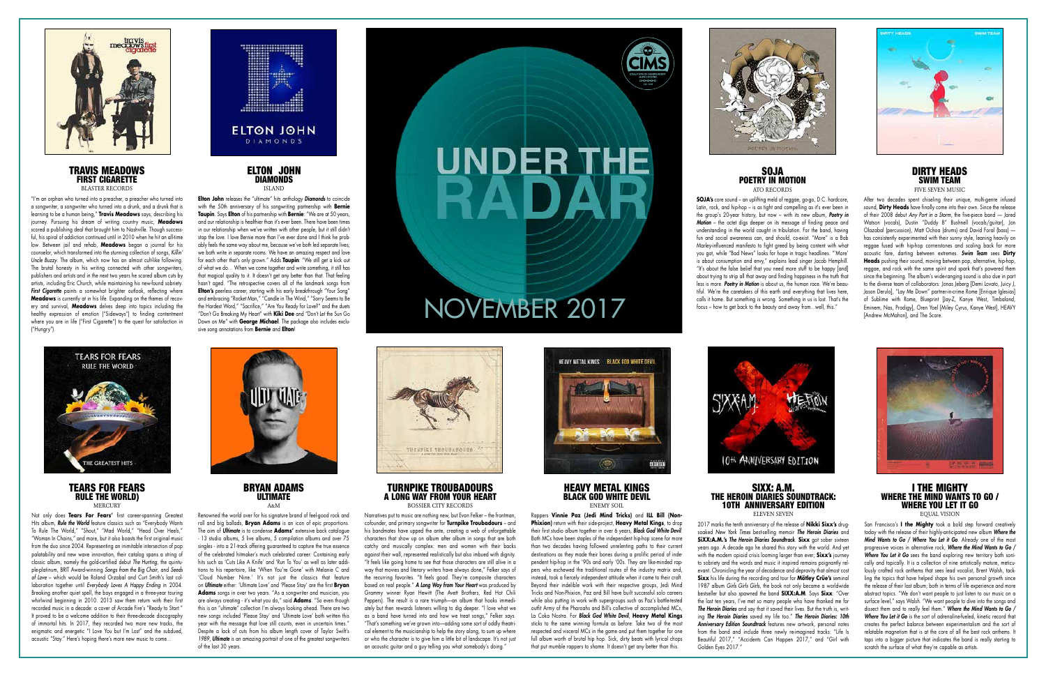BRYAN ADAMS ULTIMATE  $A \cdot M$ 

Not only does **Tears For Fears'** first career-spanning Greatest Hits album, *Rule the World* feature classics such as "Everybody Wants To Rule The World," "Shout," "Mad World," "Head Over Heels," "Woman In Chains," and more, but it also boasts the first original music from the duo since 2004. Representing an inimitable intersection of pop palatability and new wave innovation, their catalog spans a string of classic album, namely the gold-certified debut *The Hurting*, the quintuple-platinum, BRIT Award-winning *Songs from the Big Chair*, and *Seeds of Love* – which would be Roland Orzabal and Curt Smith's last collaboration together until *Everybody Loves A Happy Ending* in 2004. Breaking another quiet spell, the boys engaged in a three-year touring whirlwind beginning in 2010. 2013 saw them return with their first recorded music in a decade: a cover of Arcade Fire's "Ready to Start." It proved to be a welcome addition to their three-decade discography of immortal hits. In 2017, they recorded two more new tracks, the enigmatic and energetic "I Love You but I'm Lost" and the subdued, acoustic "Stay." Here's hoping there's more new music to come…



Renowned the world over for his signature brand of feel-good rock and roll and big ballads, **Bryan Adams** is an icon of epic proportions. The aim of *Ultimate* is to condense **Adams'** extensive back catalogue - 13 studio albums, 5 live albums, 5 compilation albums and over 75 singles - into a 21-track offering guaranteed to capture the true essence of the celebrated hitmaker's much celebrated career. Containing early hits such as 'Cuts Like A Knife' and 'Run To You' as well as later additions to his repertoire, like 'When You're Gone' with Melanie C and 'Cloud Number Nine.' It's not just the classics that feature on *Ultimate* either: 'Ultimate Love' and 'Please Stay' are the first **Bryan Adams** songs in over two years. "As a songwriter and musician, you are always creating - it's what you do," said **Adams**. "So even though this is an "ultimate" collection I'm always looking ahead. There are two new songs included 'Please Stay' and 'Ultimate Love' both written this year with the message that love still counts, even in uncertain times." Despite a lack of cuts from his album length cover of Taylor Swift's *1989*, *Ultimate* is an amazing portrait of one of the greatest songwriters of the last 30 years.



### HEAVY METAL KINGS BLACK GOD WHITE DEVIL ENEMY SOIL

### TURNPIKE TROUBADOURS A LONG WAY FROM YOUR HEART

BOSSIER CITY RECORDS

Narratives put to music are nothing new, but Evan Felker – the frontman, cofounder, and primary songwriter for **Turnpike Troubadours** – and his bandmates have upped the ante, creating a web of unforgettable characters that show up on album after album in songs that are both catchy and musically complex: men and women with their backs against their wall, represented realistically but also imbued with dignity. "It feels like going home to see that those characters are still alive in a way that movies and literary writers have always done," Felker says of the recurring favorites. "It feels good. They're composite characters based on real people." *A Long Way from Your Heart* was produced by Grammy winner Ryan Hewitt (The Avett Brothers, Red Hot Chili Peppers). The result is a rare triumph––an album that hooks immediately but then rewards listeners willing to dig deeper. "I love what we as a band have turned into and how we treat songs," Felker says. "That's something we've grown into––adding some sort of oddly theatrical element to the musicianship to help the story along, to sum up where or who the character is to give him a little bit of landscape. It's not just an acoustic guitar and a guy telling you what somebody's doing."



# **UNDER THE** RAD



### TRAVIS MEADOWS FIRST CIGARETTE BLASTER RECORDS

Rappers **Vinnie Paz (Jedi Mind Tricks)** and **ILL Bill (Non-Phixion)** return with their side-project, **Heavy Metal Kings**, to drop their first studio album together in over 6 years, *Black God White Devil*. Both MCs have been staples of the independent hip-hop scene for more than two decades having followed unrelenting paths to their current destinations as they made their bones during a prolific period of independent hip-hop in the '90s and early '00s. They are like-minded rappers who eschewed the traditional routes of the industry matrix and, instead, took a fiercely independent attitude when it came to their craft. Beyond their indelible work with their respective groups, Jedi Mind Tricks and Non-Phixion, Paz and Bill have built successful solo careers while also putting in work with supergroups such as Paz's battle-tested outfit Army of the Pharoahs and Bill's collective of accomplished MCs, La Coka Nostra. For *Black God White Devil*, **Heavy Metal Kings**  sticks to the same winning formula as before: Take two of the most respected and visceral MCs in the game and put them together for one full album worth of brutal hip hop. Sick, dirty beats with lyrical chops that put mumble rappers to shame. It doesn't get any better than this.



### SIXX: A.M. THE HEROIN DIARIES SOUNDTRACK: 10TH ANNIVERSARY EDITION ELEVEN SEVEN



After two decades spent chiseling their unique, multi-genre infused sound, **Dirty Heads** have finally come into their own. Since the release of their 2008 debut *Any Port in a Storm,* the five-piece band — Jared Watson (vocals), Dustin "Duddy B" Bushnell (vocals/guitar), Jon Olazabal (percussion), Matt Ochoa (drums) and David Foral (bass) has consistently experimented with their sunny style, leaning heavily on reggae fused with hip-hop cornerstones and scaling back for more acoustic fare, darting between extremes. *Swim Team* sees **Dirty Heads** pushing their sound, moving between pop, alternative, hip-hop, reggae, and rock with the same spirit and spark that's powered them since the beginning. The album's wide-ranging sound is also due in part to the diverse team of collaborators: Jonas Jeberg [Demi Lovato, Juicy J, Jason Derulo], "Lay Me Down" partner-in-crime Rome [Enrique Iglesias] of Sublime with Rome, Blueprint [Jay-Z, Kanye West, Timbaland, Eminem, Nas, Prodigy], Oren Yoel [Miley Cyrus, Kanye West], HEAVY [Andrew McMahon], and The Score.

2017 marks the tenth anniversary of the release of **Nikki Sixx's** drugsoaked *New York Times* best-selling memoir *The Heroin Diaries* and **SiXX:A.M.'s** *The Heroin Diaries Soundtrack*. **Sixx** got sober sixteen years ago. A decade ago he shared this story with the world. And yet with the modern opioid crisis looming larger than ever; **Sixx's** journey to sobriety and the words and music it inspired remains poignantly relevant. Chronicling the year of decadence and depravity that almost cost **Sixx** his life during the recording and tour for **Mötley Crüe's** seminal 1987 album *Girls Girls Girls*, the book not only became a worldwide bestseller but also spawned the band **SIXX:A.M**. Says **Sixx**: "Over the last ten years, I've met so many people who have thanked me for *The Heroin Diaries* and say that it saved their lives. But the truth is, writing *The Heroin Diaries* saved my life too." *The Heroin Diaries: 10th Anniversary Edition Soundtrack* features new artwork, personal notes from the band and include three newly re-imagined tracks: "Life Is Beautiful 2017," "Accidents Can Happen 2017," and "Girl with Golden Eyes 2017."

### I THE MIGHTY WHERE THE MIND WANTS TO GO / WHERE YOU LET IT GO EQUAL VISION

San Francisco's **I the Mighty** took a bold step forward creatively today with the release of their highly-anticipated new album *Where the Mind Wants to Go / Where You Let it Go*. Already one of the most progressive voices in alternative rock, *Where the Mind Wants to Go / Where You Let it Go* sees the band exploring new territory both sonically and topically. It is a collection of nine artistically mature, meticulously crafted rock anthems that sees lead vocalist, Brent Walsh, tackling the topics that have helped shape his own personal growth since the release of their last album; both in terms of life experience and more abstract topics. "We don't want people to just listen to our music on a surface level," says Walsh. "We want people to dive into the songs and dissect them and to really feel them." *Where the Mind Wants to Go / Where You Let it Go* is the sort of adrenaline-fueled, kinetic record that creates the perfect balance between experimentalism and the sort of relatable magnetism that is at the core of all the best rock anthems. It taps into a bigger picture that indicates the band is really starting to scratch the surface of what they're capable as artists.

"I'm an orphan who turned into a preacher, a preacher who turned into a songwriter, a songwriter who turned into a drunk, and a drunk that is learning to be a human being," **Travis Meadows** says, describing his journey. Pursuing his dream of writing country music, **Meadows** scored a publishing deal that brought him to Nashville. Though successful, his spiral of addiction continued until in 2010 when he hit an all-time low. Between jail and rehab, **Meadows** began a journal for his counselor, which transformed into the stunning collection of songs, *Killin' Uncle Buzzy*. The album, which now has an almost cult-like following. The brutal honesty in his writing connected with other songwriters, publishers and artists and in the next two years he scored album cuts by artists, including Eric Church, while maintaining his new-found sobriety. **First Cigarette** paints a somewhat brighter outlook, reflecting where **Meadows** is currently at in his life. Expanding on the themes of recovery and survival, **Meadows** delves deep into topics including the healthy expression of emotion ("Sideways") to finding contentment where you are in life ("First Cigarette") to the quest for satisfaction in ("Hungry").



### TEARS FOR FEARS RULE THE WORLD) **MERCURY**

### ELTON JOHN DIAMONDS ISLAND

**Elton John** releases the "ultimate" hits anthology *Diamonds* to coincide with the 50th anniversary of his songwriting partnership with **Bernie Taupin**. Says **Elton** of his partnership with **Bernie**: "We are at 50 years, and our relationship is healthier than it's ever been. There have been times in our relationship when we've written with other people, but it still didn't stop the love. I love Bernie more than I've ever done and I think he probably feels the same way about me, because we've both led separate lives; we both write in separate rooms. We have an amazing respect and love for each other that's only grown." Adds **Taupin**: "We still get a kick out of what we do… When we come together and write something, it still has that magical quality to it. It doesn't get any better than that. That feeling hasn't aged. "The retrospective covers all of the landmark songs from **Elton's** peerless career, starting with his early breakthrough "Your Song" and embracing "Rocket Man," "Candle in The Wind," "Sorry Seems to Be the Hardest Word," "Sacrifice," "Are You Ready for Love?" and the duets "Don't Go Breaking My Heart" with **Kiki Dee** and "Don't Let the Sun Go Down on Me" with **George Michael**. The package also includes exclusive song annotations from **Bernie** and **Elton**!



## NOVEMBER 2017



### SOJA POETRY IN MOTION ATO RECORDS



**SOJA's** core sound – an uplifting meld of reggae, go-go, D.C. hardcore, Latin, rock, and hip-hop – is as tight and compelling as it's ever been in the group's 20-year history, but now – with its new album, *Poetry in Motion* – the octet digs deeper on its message of finding peace and understanding in the world caught in tribulation. For the band, having fun and social awareness can, and should, co-exist. "More" is a Bob Marley-influenced manifesto to fight greed by being content with what you got, while "Bad News" looks for hope in tragic headlines. "'More' is about consumption and envy," explains lead singer Jacob Hemphill. "It's about the false belief that you need more stuff to be happy [and] about trying to strip all that away and finding happiness in the truth that less is more. *Poetry in Motion* is about us, the human race. We're beautiful. We're the caretakers of this earth and everything that lives here, calls it home. But something is wrong. Something in us is lost. That's the focus – how to get back to the beauty and away from...well, this."